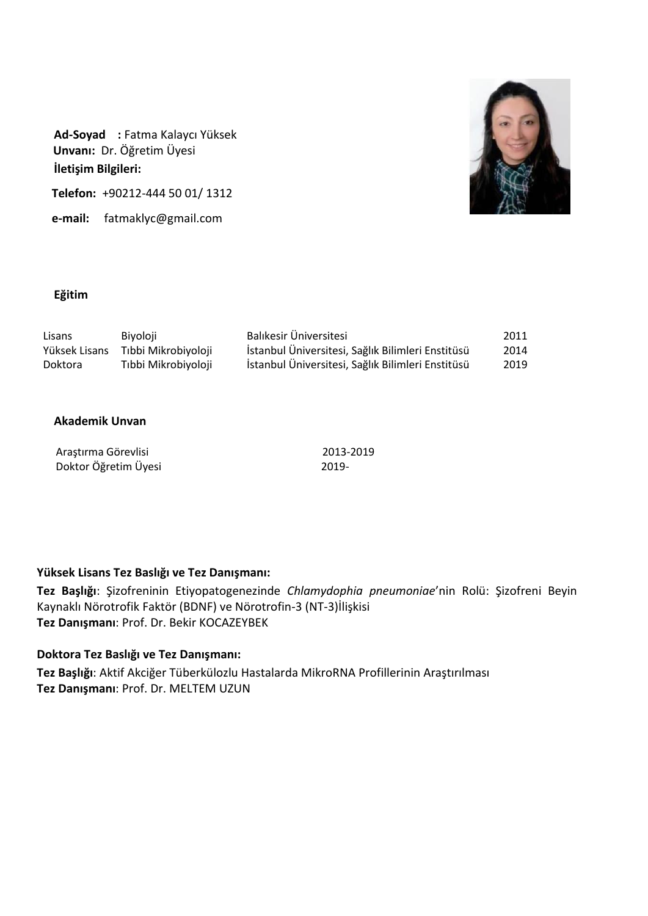

**Ad-Soyad :** Fatma Kalaycı Yüksek  **Unvanı:** Dr. Öğretim Üyesi **İletişim Bilgileri:**

 **Telefon:** +90212-444 50 01/ 1312

 **e-mail:** [fatmaklyc@gmail.com](mailto:fatmaklyc@gmail.com)

# **Eğitim**

| Lisans        | Biyoloji            | Balıkesir Üniversitesi                            | 2011 |
|---------------|---------------------|---------------------------------------------------|------|
| Yüksek Lisans | Tıbbi Mikrobiyoloji | İstanbul Üniversitesi, Sağlık Bilimleri Enstitüsü | 2014 |
| Doktora       | Tıbbi Mikrobiyoloji | İstanbul Üniversitesi, Sağlık Bilimleri Enstitüsü | 2019 |

## **Akademik Unvan**

| Araştırma Görevlisi  | 2013-2019 |
|----------------------|-----------|
| Doktor Öğretim Üyesi | $2019 -$  |

# **Yüksek Lisans Tez Baslığı ve Tez Danışmanı:**

**Tez Başlığı**: Şizofreninin Etiyopatogenezinde *Chlamydophia pneumoniae*'nin Rolü: Şizofreni Beyin Kaynaklı Nörotrofik Faktör (BDNF) ve Nörotrofin-3 (NT-3)İlişkisi **Tez Danışmanı**: Prof. Dr. Bekir KOCAZEYBEK

# **Doktora Tez Baslığı ve Tez Danışmanı:**

**Tez Başlığı**: Aktif Akciğer Tüberkülozlu Hastalarda MikroRNA Profillerinin Araştırılması **Tez Danışmanı**: Prof. Dr. MELTEM UZUN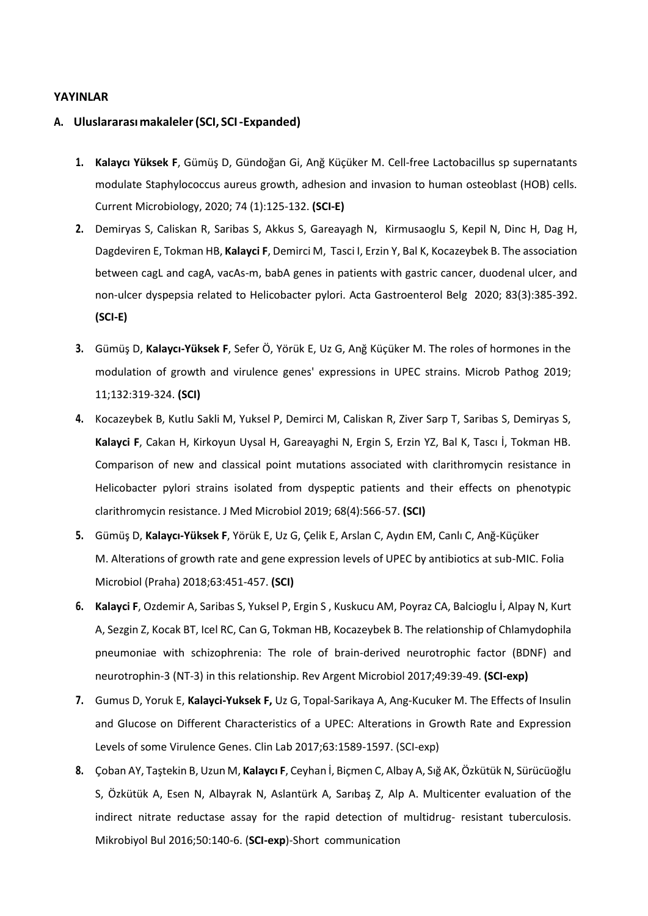### **YAYINLAR**

#### **A. Uluslararasımakaleler(SCI, SCI-Expanded)**

- **1. Kalaycı Yüksek F**, Gümüş D, Gündoğan Gi, Anğ Küçüker M. Cell-free Lactobacillus sp supernatants modulate Staphylococcus aureus growth, adhesion and invasion to human osteoblast (HOB) cells. Current Microbiology, 2020; 74 (1):125-132. **(SCI-E)**
- **2.** Demiryas S, Caliskan R, Saribas S, Akkus S, Gareayagh N, Kirmusaoglu S, Kepil N, Dinc H, Dag H, Dagdeviren E, Tokman HB, **Kalayci F**, Demirci M, Tasci I, Erzin Y, Bal K, Kocazeybek B. The association between cagL and cagA, vacAs-m, babA genes in patients with gastric cancer, duodenal ulcer, and non-ulcer dyspepsia related to Helicobacter pylori. Acta Gastroenterol Belg 2020; 83(3):385-392. **(SCI-E)**
- **3.** Gümüş D, **Kalaycı-Yüksek F**, Sefer Ö, Yörük E, Uz G, Anğ Küçüker M. The roles of hormones in the modulation of growth and virulence genes' expressions in UPEC strains. Microb Pathog 2019; 11;132:319-324. **(SCI)**
- **4.** Kocazeybek B, Kutlu Sakli M, Yuksel P, Demirci M, Caliskan R, Ziver Sarp T, Saribas S, Demiryas S, **Kalayci F**, Cakan H, Kirkoyun Uysal H, Gareayaghi N, Ergin S, Erzin YZ, Bal K, Tascı İ, Tokman HB. Comparison of new and classical point mutations associated with clarithromycin resistance in Helicobacter pylori strains isolated from dyspeptic patients and their effects on phenotypic clarithromycin resistance. J Med Microbiol 2019; 68(4):566-57. **(SCI)**
- **5.** Gümüş D, **Kalaycı-Yüksek F**, Yörük E, Uz G, Çelik E, Arslan C, Aydın EM, Canlı C, Anğ-Küçüker M. Alterations of growth rate and gene expression levels of UPEC by antibiotics at sub-MIC. Folia Microbiol (Praha) 2018;63:451-457. **(SCI)**
- **6. Kalayci F**, Ozdemir A, Saribas S, Yuksel P, Ergin S , Kuskucu AM, Poyraz CA, Balcioglu İ, Alpay N, Kurt A, Sezgin Z, Kocak BT, Icel RC, Can G, Tokman HB, Kocazeybek B. The relationship of Chlamydophila pneumoniae with schizophrenia: The role of brain-derived neurotrophic factor (BDNF) and neurotrophin-3 (NT-3) in this relationship. Rev Argent Microbiol 2017;49:39-49. **(SCI-exp)**
- **7.** Gumus D, Yoruk E, **Kalayci-Yuksek F,** Uz G, Topal-Sarikaya A, Ang-Kucuker M. The Effects of Insulin and Glucose on Different Characteristics of a UPEC: Alterations in Growth Rate and Expression Levels of some Virulence Genes. Clin Lab 2017;63:1589-1597. (SCI-exp)
- **8.** Çoban AY, Taştekin B, Uzun M, **Kalaycı F**, Ceyhan İ, Biçmen C, Albay A, Sığ AK, Özkütük N, Sürücüoğlu S, Özkütük A, Esen N, Albayrak N, Aslantürk A, Sarıbaş Z, Alp A. Multicenter evaluation of the indirect nitrate reductase assay for the rapid detection of multidrug- resistant tuberculosis. Mikrobiyol Bul 2016;50:140-6. (**SCI-exp**)-Short communication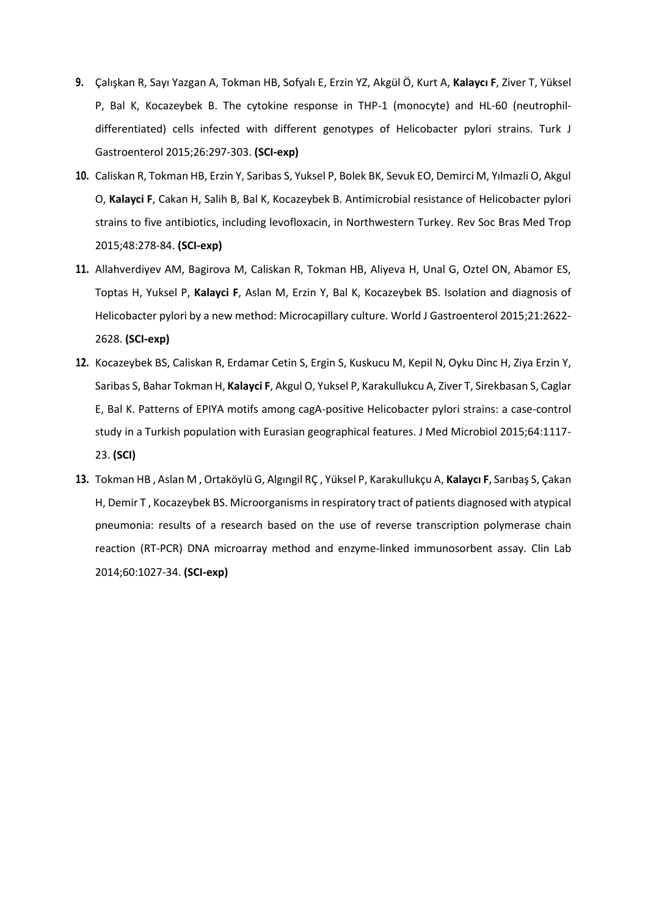- **9.** Çalışkan R, Sayı Yazgan A, Tokman HB, Sofyalı E, Erzin YZ, Akgül Ö, Kurt A, **Kalaycı F**, Ziver T, Yüksel P, Bal K, Kocazeybek B. The cytokine response in THP-1 (monocyte) and HL-60 (neutrophildifferentiated) cells infected with different genotypes of Helicobacter pylori strains. Turk J Gastroenterol 2015;26:297-303. **(SCI-exp)**
- **10.** Caliskan R, Tokman HB, Erzin Y, Saribas S, Yuksel P, Bolek BK, Sevuk EO, Demirci M, Yılmazli O, Akgul O, **Kalayci F**, Cakan H, Salih B, Bal K, Kocazeybek B. Antimicrobial resistance of Helicobacter pylori strains to five antibiotics, including levofloxacin, in Northwestern Turkey. Rev Soc Bras Med Trop 2015;48:278-84. **(SCI-exp)**
- **11.** Allahverdiyev AM, Bagirova M, Caliskan R, Tokman HB, Aliyeva H, Unal G, Oztel ON, Abamor ES, Toptas H, Yuksel P, **Kalayci F**, Aslan M, Erzin Y, Bal K, Kocazeybek BS. Isolation and diagnosis of Helicobacter pylori by a new method: Microcapillary culture. World J Gastroenterol 2015;21:2622- 2628. **(SCI-exp)**
- **12.** Kocazeybek BS, Caliskan R, Erdamar Cetin S, Ergin S, Kuskucu M, Kepil N, Oyku Dinc H, Ziya Erzin Y, Saribas S, Bahar Tokman H, **Kalayci F**, Akgul O, Yuksel P, Karakullukcu A, Ziver T, Sirekbasan S, Caglar E, Bal K. Patterns of EPIYA motifs among cagA-positive Helicobacter pylori strains: a case-control study in a Turkish population with Eurasian geographical features. J Med Microbiol 2015;64:1117- 23. **(SCI)**
- **13.** Tokman HB , Aslan M , Ortaköylü G, Algıngil RÇ , Yüksel P, Karakullukçu A, **Kalaycı F**, Sarıbaş S, Çakan H, Demir T , Kocazeybek BS. Microorganisms in respiratory tract of patients diagnosed with atypical pneumonia: results of a research based on the use of reverse transcription polymerase chain reaction (RT-PCR) DNA microarray method and enzyme-linked immunosorbent assay. Clin Lab 2014;60:1027-34. **(SCI-exp)**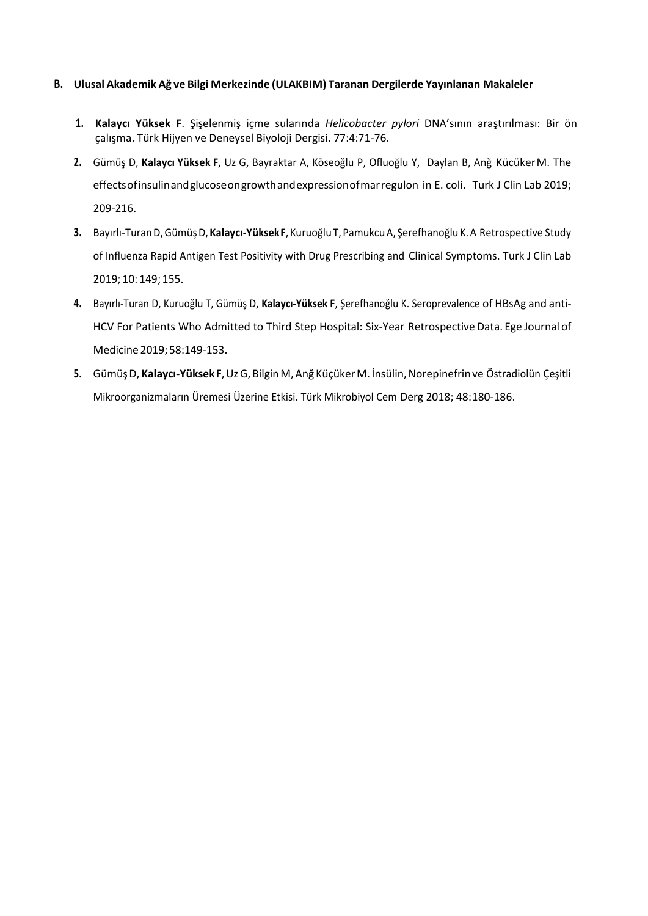### **B. Ulusal Akademik Ağ ve Bilgi Merkezinde (ULAKBIM) Taranan Dergilerde Yayınlanan Makaleler**

- **1. Kalaycı Yüksek F**. Şişelenmiş içme sularında *Helicobacter pylori* DNA'sının araştırılması: Bir ön çalışma. Türk Hijyen ve Deneysel Biyoloji Dergisi. 77:4:71-76.
- **2.** Gümüş D, **Kalaycı Yüksek F**, Uz G, Bayraktar A, Köseoğlu P, Ofluoğlu Y, Daylan B, Anğ KücükerM. The effectsofinsulinandglucoseongrowthandexpressionofmarregulon in E. coli. Turk J Clin Lab 2019; 209-216.
- **3.** Bayırlı-TuranD,GümüşD,**Kalaycı-YüksekF**, KuruoğluT, PamukcuA, Şerefhanoğlu K.A Retrospective Study of Influenza Rapid Antigen Test Positivity with Drug Prescribing and Clinical Symptoms. Turk J Clin Lab 2019; 10: 149;155.
- **4.** Bayırlı-Turan D, Kuruoğlu T, Gümüş D, **Kalaycı-Yüksek F**, Şerefhanoğlu K. Seroprevalence of HBsAg and anti-HCV For Patients Who Admitted to Third Step Hospital: Six-Year Retrospective Data. Ege Journal of Medicine 2019;58:149-153.
- **5.** GümüşD, **Kalaycı-YüksekF**,UzG,BilginM,Anğ KüçükerM. İnsülin,Norepinefrinve Östradiolün Çeşitli Mikroorganizmaların Üremesi Üzerine Etkisi. Türk Mikrobiyol Cem Derg 2018; 48:180-186.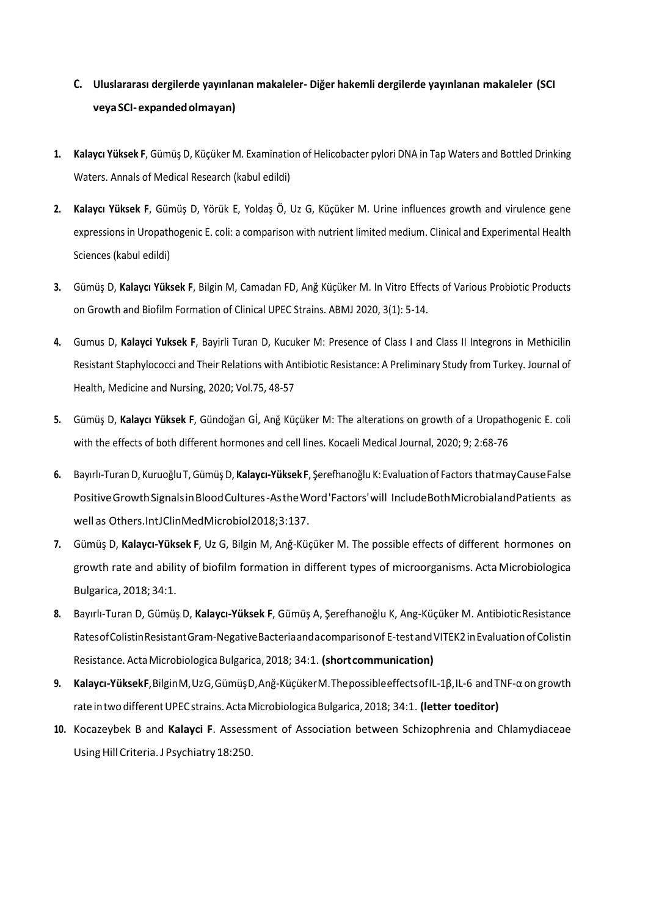# **C. Uluslararası dergilerde yayınlanan makaleler- Diğer hakemli dergilerde yayınlanan makaleler (SCI veyaSCI-expandedolmayan)**

- **1. Kalaycı Yüksek F**, Gümüş D, Küçüker M. Examination of Helicobacter pylori DNA in Tap Waters and Bottled Drinking Waters. Annals of Medical Research (kabul edildi)
- **2. Kalaycı Yüksek F**, Gümüş D, Yörük E, Yoldaş Ö, Uz G, Küçüker M. Urine influences growth and virulence gene expressions in Uropathogenic E. coli: a comparison with nutrient limited medium. Clinical and Experimental Health Sciences (kabul edildi)
- **3.** Gümüş D, **Kalaycı Yüksek F**, Bilgin M, Camadan FD, Anğ Küçüker M. In Vitro Effects of Various Probiotic Products on Growth and Biofilm Formation of Clinical UPEC Strains. ABMJ 2020, 3(1): 5-14.
- **4.** Gumus D, **Kalayci Yuksek F**, Bayirli Turan D, Kucuker M: Presence of Class I and Class II Integrons in Methicilin Resistant Staphylococci and Their Relations with Antibiotic Resistance: A Preliminary Study from Turkey. Journal of Health, Medicine and Nursing, 2020; Vol.75, 48-57
- **5.** Gümüş D, **Kalaycı Yüksek F**, Gündoğan Gİ, Anğ Küçüker M: The alterations on growth of a Uropathogenic E. coli with the effects of both different hormones and cell lines. Kocaeli Medical Journal, 2020; 9; 2:68-76
- **6.** Bayırlı-Turan D, Kuruoğlu T, Gümüş D, **Kalaycı-YüksekF**, Şerefhanoğlu K: Evaluation of Factors thatmayCauseFalse PositiveGrowthSignalsinBloodCultures-AstheWord'Factors'will IncludeBothMicrobialandPatients as well as Others.IntJClinMedMicrobiol2018;3:137.
- **7.** Gümüş D, **Kalaycı-Yüksek F**, Uz G, Bilgin M, Anğ-Küçüker M. The possible effects of different hormones on growth rate and ability of biofilm formation in different types of microorganisms. Acta Microbiologica Bulgarica, 2018; 34:1.
- **8.** Bayırlı-Turan D, Gümüş D, **Kalaycı-Yüksek F**, Gümüş A, Şerefhanoğlu K, Ang-Küçüker M. AntibioticResistance RatesofColistinResistantGram-NegativeBacteriaandacomparisonof E-testandVITEK2inEvaluationofColistin Resistance. ActaMicrobiologica Bulgarica, 2018; 34:1. **(shortcommunication)**
- **9. Kalaycı-YüksekF**,BilginM,UzG,GümüşD,Anğ-KüçükerM.ThepossibleeffectsofIL-1β,IL-6 and TNF-α on growth rate intwo differentUPECstrains.ActaMicrobiologicaBulgarica, 2018; 34:1. **(letter toeditor)**
- **10.** Kocazeybek B and **Kalayci F**. Assessment of Association between Schizophrenia and Chlamydiaceae UsingHillCriteria.J Psychiatry 18:250.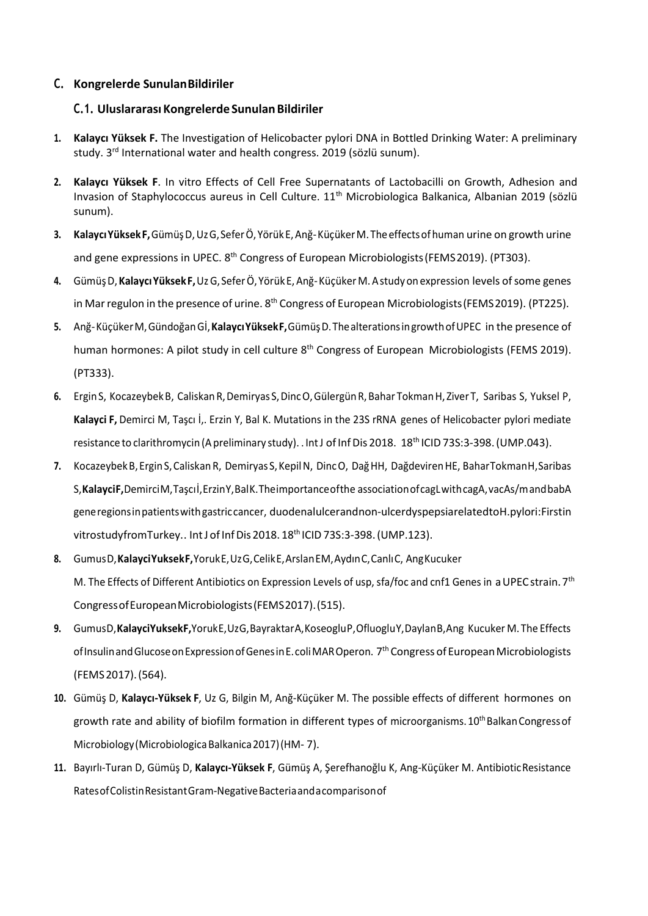## **C. Kongrelerde SunulanBildiriler**

## **C.1. Uluslararası KongrelerdeSunulanBildiriler**

- **1. Kalaycı Yüksek F.** The Investigation of Helicobacter pylori DNA in Bottled Drinking Water: A preliminary study. 3<sup>rd</sup> International water and health congress. 2019 (sözlü sunum).
- **2. Kalaycı Yüksek F**. In vitro Effects of Cell Free Supernatants of Lactobacilli on Growth, Adhesion and Invasion of Staphylococcus aureus in Cell Culture. 11<sup>th</sup> Microbiologica Balkanica, Albanian 2019 (sözlü sunum).
- **3. KalaycıYüksekF,**GümüşD,UzG,SeferÖ,YörükE,Anğ-KüçükerM.Theeffectsofhuman urine on growth urine and gene expressions in UPEC. 8<sup>th</sup> Congress of European Microbiologists (FEMS 2019). (PT303).
- **4.** GümüşD,**KalaycıYüksekF,**UzG, SeferÖ,YörükE,Anğ-KüçükerM.Astudyon expression levels ofsome genes in Mar regulon in the presence of urine. 8<sup>th</sup> Congress of European Microbiologists (FEMS 2019). (PT225).
- **5.** Anğ-KüçükerM,GündoğanGİ,**KalaycıYüksekF,**GümüşD.ThealterationsingrowthofUPEC in the presence of human hormones: A pilot study in cell culture 8<sup>th</sup> Congress of European Microbiologists (FEMS 2019). (PT333).
- **6.** ErginS, KocazeybekB, CaliskanR,Demiryas S,DincO,GülergünR,Bahar TokmanH, Ziver T, Saribas S, Yuksel P, **Kalayci F,** Demirci M, Taşcı İ,. Erzin Y, Bal K. Mutations in the 23S rRNA genes of Helicobacter pylori mediate resistance to clarithromycin (A preliminary study). . IntJ of Inf Dis 2018. 18<sup>th</sup> ICID 73S:3-398. (UMP.043).
- **7.** KocazeybekB,ErginS,CaliskanR, Demiryas S,KepilN, DincO, DağHH, DağdevirenHE, BaharTokmanH,Saribas S,**KalayciF,**DemirciM,Taşcıİ,ErzinY,BalK.Theimportanceofthe associationofcagLwithcagA,vacAs/mandbabA generegionsinpatientswithgastriccancer, duodenalulcerandnon-ulcerdyspepsiarelatedtoH.pylori:Firstin vitrostudyfromTurkey.. IntJ of Inf Dis 2018. 18<sup>th</sup> ICID 73S:3-398. (UMP.123).
- **8.** GumusD,**KalayciYuksekF,**YorukE,UzG,CelikE,ArslanEM,AydınC,CanlıC, AngKucuker M. The Effects of Different Antibiotics on Expression Levels of usp, sfa/foc and cnf1 Genes in a UPEC strain. 7<sup>th</sup> CongressofEuropeanMicrobiologists(FEMS2017).(515).
- **9.** GumusD,**KalayciYuksekF,**YorukE,UzG,BayraktarA,KoseogluP,OfluogluY,DaylanB,Ang Kucuker M. The Effects of Insulin and Glucose on Expression of Genes in E. coli MAR Operon. 7<sup>th</sup> Congress of European Microbiologists (FEMS2017).(564).
- **10.** Gümüş D, **Kalaycı-Yüksek F**, Uz G, Bilgin M, Anğ-Küçüker M. The possible effects of different hormones on growth rate and ability of biofilm formation in different types of microorganisms. 10<sup>th</sup> Balkan Congress of Microbiology(MicrobiologicaBalkanica2017)(HM- 7).
- **11.** Bayırlı-Turan D, Gümüş D, **Kalaycı-Yüksek F**, Gümüş A, Şerefhanoğlu K, Ang-Küçüker M. AntibioticResistance RatesofColistinResistantGram-NegativeBacteriaandacomparisonof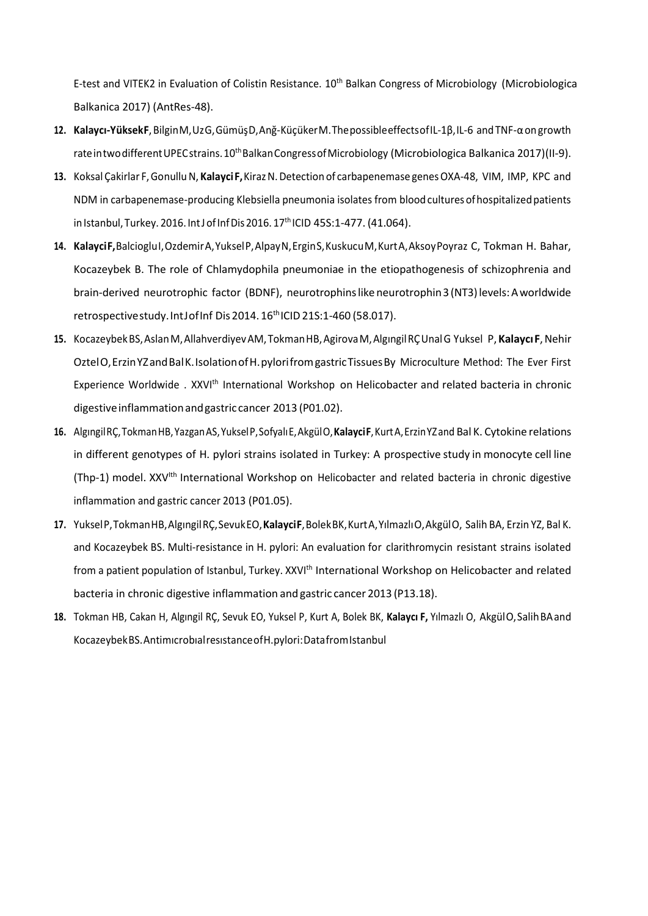E-test and VITEK2 in Evaluation of Colistin Resistance. 10<sup>th</sup> Balkan Congress of Microbiology (Microbiologica Balkanica 2017) (AntRes-48).

- **12. Kalaycı-YüksekF**,BilginM,UzG,GümüşD,Anğ-KüçükerM.ThepossibleeffectsofIL-1β,IL-6 andTNF-αongrowth rateintwo different UPEC strains. 10<sup>th</sup> Balkan Congress of Microbiology (Microbiologica Balkanica 2017)(II-9).
- 13. Koksal Çakirlar F, Gonullu N, Kalayci F, Kiraz N. Detection of carbapenemase genes OXA-48, VIM, IMP, KPC and NDM in carbapenemase-producing Klebsiella pneumonia isolates from bloodcultures ofhospitalizedpatients in Istanbul, Turkey. 2016. Int J of Inf Dis 2016. 17<sup>th</sup> ICID 45S:1-477. (41.064).
- **14. KalayciF,**BalciogluI,OzdemirA,YukselP,AlpayN,ErginS,KuskucuM,KurtA,AksoyPoyraz C, Tokman H. Bahar, Kocazeybek B. The role of Chlamydophila pneumoniae in the etiopathogenesis of schizophrenia and brain-derived neurotrophic factor (BDNF), neurotrophinslike neurotrophin3(NT3)levels:Aworldwide retrospectivestudy.IntJofInf Dis 2014.16<sup>th</sup>ICID 21S:1-460 (58.017).
- **15.** KocazeybekBS,AslanM,AllahverdiyevAM,TokmanHB,AgirovaM,AlgıngilRÇUnalG Yuksel P,**KalaycıF**,Nehir OztelO,ErzinYZandBalK.IsolationofH.pylorifromgastricTissuesBy Microculture Method: The Ever First Experience Worldwide . XXVI<sup>th</sup> International Workshop on Helicobacter and related bacteria in chronic digestive inflammation and gastric cancer 2013 (P01.02).
- **16.** AlgıngilRÇ,TokmanHB,YazganAS,YukselP,SofyalıE,AkgülO,**KalayciF**,KurtA,ErzinYZand Bal K. Cytokine relations in different genotypes of H. pylori strains isolated in Turkey: A prospective study in monocyte cell line (Thp-1) model. XXV<sup>Ith</sup> International Workshop on Helicobacter and related bacteria in chronic digestive inflammation and gastric cancer 2013 (P01.05).
- **17.** YukselP,TokmanHB,AlgıngilRÇ,SevukEO,**KalayciF**,BolekBK,KurtA,YılmazlıO,AkgülO, Salih BA, Erzin YZ, Bal K. and Kocazeybek BS. Multi-resistance in H. pylori: An evaluation for clarithromycin resistant strains isolated from a patient population of Istanbul, Turkey. XXVI<sup>th</sup> International Workshop on Helicobacter and related bacteria in chronic digestive inflammation and gastric cancer 2013 (P13.18).
- **18.** Tokman HB, Cakan H, Algıngil RÇ, Sevuk EO, Yuksel P, Kurt A, Bolek BK, **Kalaycı F,** Yılmazlı O, AkgülO,SalihBAand KocazeybekBS.AntimıcrobıalresıstanceofH.pylori:DatafromIstanbul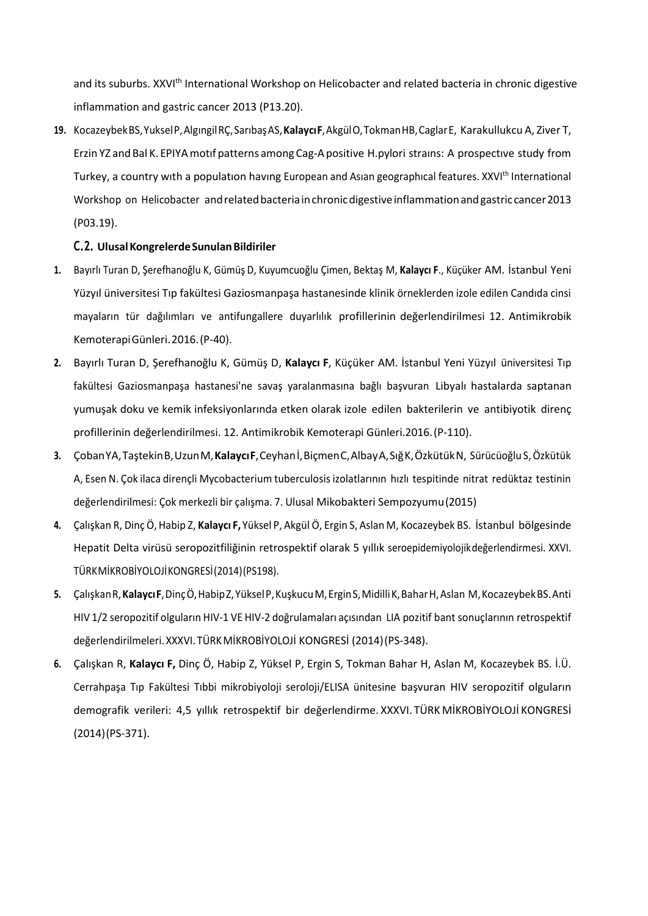and its suburbs. XXVI<sup>th</sup> International Workshop on Helicobacter and related bacteria in chronic digestive inflammation and gastric cancer 2013 (P13.20).

**19.** KocazeybekBS,YukselP,AlgıngilRÇ,SarıbaşAS,**KalaycıF**,AkgülO,TokmanHB,CaglarE, Karakullukcu A, Ziver T, Erzin YZ and Bal K. EPIYAmotıf patterns among Cag-Apositive H.pylori straıns: A prospectıve study from Turkey, a country with a population having European and Asian geographical features. XXVI<sup>th</sup> International Workshop on Helicobacter and related bacteria in chronic digestive inflammation and gastric cancer 2013 (P03.19).

### **C.2. UlusalKongrelerdeSunulanBildiriler**

- **1.** Bayırlı Turan D, Şerefhanoğlu K, Gümüş D, Kuyumcuoğlu Çimen, Bektaş M, **Kalaycı F**., Küçüker AM. İstanbul Yeni Yüzyıl üniversitesi Tıp fakültesi Gaziosmanpaşa hastanesinde klinik örneklerden izole edilen Candıda cinsi mayaların tür dağılımları ve antifungallere duyarlılık profillerinin değerlendirilmesi 12. Antimikrobik KemoterapiGünleri.2016.(P-40).
- **2.** Bayırlı Turan D, Şerefhanoğlu K, Gümüş D, **Kalaycı F**, Küçüker AM. İstanbul Yeni Yüzyıl üniversitesi Tıp fakültesi Gaziosmanpaşa hastanesi'ne savaş yaralanmasına bağlı başvuran Libyalı hastalarda saptanan yumuşak doku ve kemik infeksiyonlarında etken olarak izole edilen bakterilerin ve antibiyotik direnç profillerinin değerlendirilmesi. 12. Antimikrobik Kemoterapi Günleri.2016.(P-110).
- **3.** ÇobanYA,TaştekinB,UzunM,**KalaycıF**,Ceyhanİ,BiçmenC,AlbayA,SığK,ÖzkütükN, Sürücüoğlu S,Özkütük A, Esen N. Çok ilaca dirençli Mycobacterium tuberculosis izolatlarının hızlı tespitinde nitrat redüktaz testinin değerlendirilmesi: Çok merkezli bir çalışma. 7. Ulusal Mikobakteri Sempozyumu(2015)
- **4.** Çalışkan R, Dinç Ö, Habip Z, **Kalaycı F,** Yüksel P, Akgül Ö, Ergin S, Aslan M, Kocazeybek BS. İstanbul bölgesinde Hepatit Delta virüsü seropozitfiliğinin retrospektif olarak 5 yıllık seroepidemiyolojikdeğerlendirmesi. XXVI. TÜRKMİKROBİYOLOJİKONGRESİ(2014)(PS198).
- **5.** ÇalışkanR,**KalaycıF**,DinçÖ,HabipZ,YükselP,KuşkucuM,ErginS,MidilliK,BaharH,Aslan M,KocazeybekBS.Anti HIV 1/2 seropozitif olguların HIV-1 VE HIV-2 doğrulamaları açısından LIA pozitif bant sonuçlarının retrospektif değerlendirilmeleri.XXXVI. TÜRKMİKROBİYOLOJİ KONGRESİ (2014)(PS-348).
- **6.** Çalışkan R, **Kalaycı F,** Dinç Ö, Habip Z, Yüksel P, Ergin S, Tokman Bahar H, Aslan M, Kocazeybek BS. İ.Ü. Cerrahpaşa Tıp Fakültesi Tıbbi mikrobiyoloji seroloji/ELISA ünitesine başvuran HIV seropozitif olguların demografik verileri: 4,5 yıllık retrospektif bir değerlendirme. XXXVI. TÜRK MİKROBİYOLOJİ KONGRESİ (2014)(PS-371).